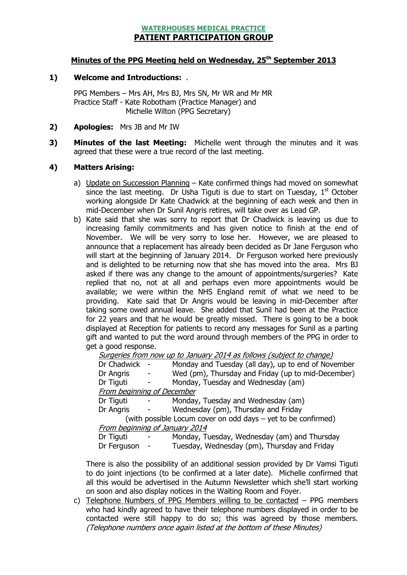## WATERHOUSES MEDICAL PRACTICE PATIENT PARTICIPATION GROUP

## Minutes of the PPG Meeting held on Wednesday, 25<sup>th</sup> September 2013

### 1) Welcome and Introductions: .

PPG Members – Mrs AH, Mrs BJ, Mrs SN, Mr WR and Mr MR Practice Staff - Kate Robotham (Practice Manager) and Michelle Wilton (PPG Secretary)

- 2) **Apologies:** Mrs JB and Mr IW
- 3) Minutes of the last Meeting: Michelle went through the minutes and it was agreed that these were a true record of the last meeting.

#### 4) Matters Arising:

- a) Update on Succession Planning Kate confirmed things had moved on somewhat since the last meeting. Dr Usha Tiguti is due to start on Tuesday,  $1<sup>st</sup>$  October working alongside Dr Kate Chadwick at the beginning of each week and then in mid-December when Dr Sunil Angris retires, will take over as Lead GP.
- b) Kate said that she was sorry to report that Dr Chadwick is leaving us due to increasing family commitments and has given notice to finish at the end of November. We will be very sorry to lose her. However, we are pleased to announce that a replacement has already been decided as Dr Jane Ferguson who will start at the beginning of January 2014. Dr Ferguson worked here previously and is delighted to be returning now that she has moved into the area. Mrs BJ asked if there was any change to the amount of appointments/surgeries? Kate replied that no, not at all and perhaps even more appointments would be available; we were within the NHS England remit of what we need to be providing. Kate said that Dr Angris would be leaving in mid-December after taking some owed annual leave. She added that Sunil had been at the Practice for 22 years and that he would be greatly missed. There is going to be a book displayed at Reception for patients to record any messages for Sunil as a parting gift and wanted to put the word around through members of the PPG in order to get a good response.

|                                                               | Surgeries from now up to January 2014 as follows (subject to change) |  |                                                     |  |  |
|---------------------------------------------------------------|----------------------------------------------------------------------|--|-----------------------------------------------------|--|--|
|                                                               | Dr Chadwick                                                          |  | Monday and Tuesday (all day), up to end of November |  |  |
|                                                               | Dr Angris                                                            |  | Wed (pm), Thursday and Friday (up to mid-December)  |  |  |
|                                                               | Dr Tiguti                                                            |  | Monday, Tuesday and Wednesday (am)                  |  |  |
|                                                               | From beginning of December                                           |  |                                                     |  |  |
|                                                               | Dr Tiguti                                                            |  | Monday, Tuesday and Wednesday (am)                  |  |  |
|                                                               | Dr Angris                                                            |  | Wednesday (pm), Thursday and Friday                 |  |  |
| (with possible Locum cover on odd days - yet to be confirmed) |                                                                      |  |                                                     |  |  |
|                                                               | From beginning of January 2014                                       |  |                                                     |  |  |
|                                                               | Dr Tiguti                                                            |  | Monday, Tuesday, Wednesday (am) and Thursday        |  |  |
|                                                               | Dr Ferguson -                                                        |  | Tuesday, Wednesday (pm), Thursday and Friday        |  |  |

There is also the possibility of an additional session provided by Dr Vamsi Tiguti to do joint injections (to be confirmed at a later date). Michelle confirmed that all this would be advertised in the Autumn Newsletter which she'll start working on soon and also display notices in the Waiting Room and Foyer.

c) Telephone Numbers of PPG Members willing to be contacted – PPG members who had kindly agreed to have their telephone numbers displayed in order to be contacted were still happy to do so; this was agreed by those members. (Telephone numbers once again listed at the bottom of these Minutes)